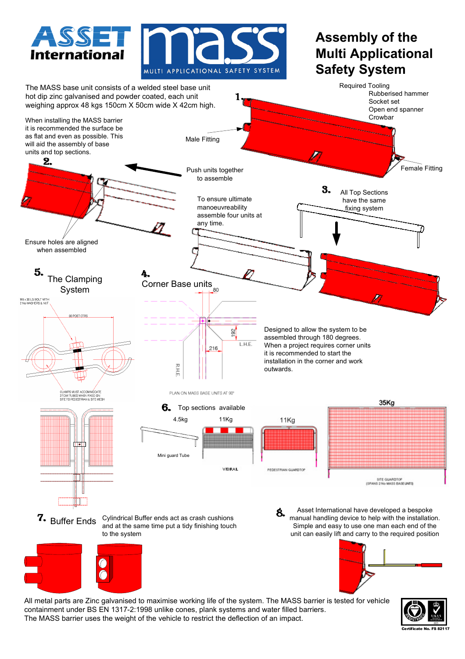

All metal parts are Zinc galvanised to maximise working life of the system. The MASS barrier is tested for vehicle containment under BS EN 1317-2:1998 unlike cones, plank systems and water filled barriers. The MASS barrier uses the weight of the vehicle to restrict the deflection of an impact.

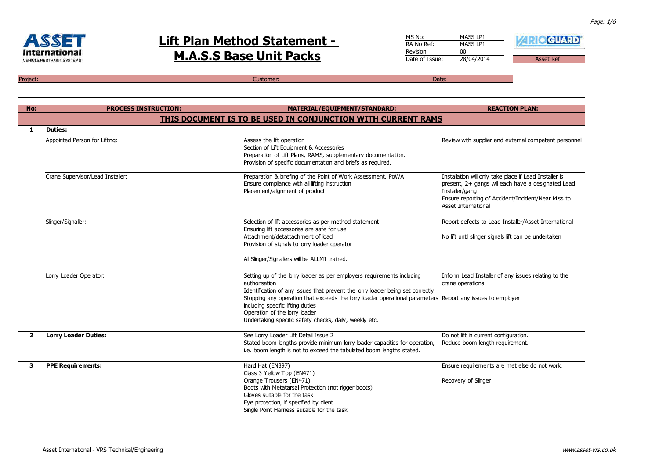

Project:

| 971<br>ernational<br>E RESTRAINT SYSTEMS | <b>Lift Plan Method Statement -</b><br><b>M.A.S.S Base Unit Packs</b> | MS No:<br><b>RA No Ref:</b><br>Revision<br>Date of Issue: | <b>MASS LP1</b><br><b>MASS LP1</b><br>28/04/2014 | <b>GUARD</b><br><b>Asset Ref:</b> |
|------------------------------------------|-----------------------------------------------------------------------|-----------------------------------------------------------|--------------------------------------------------|-----------------------------------|
|                                          | Customer:                                                             | IDate:                                                    |                                                  |                                   |

| No:            | <b>PROCESS INSTRUCTION:</b>      | MATERIAL/EQUIPMENT/STANDARD:                                                                                                                                                                                                                                                                                                                                                                                           | <b>REACTION PLAN:</b>                                                                                                                                                                                              |
|----------------|----------------------------------|------------------------------------------------------------------------------------------------------------------------------------------------------------------------------------------------------------------------------------------------------------------------------------------------------------------------------------------------------------------------------------------------------------------------|--------------------------------------------------------------------------------------------------------------------------------------------------------------------------------------------------------------------|
|                |                                  | THIS DOCUMENT IS TO BE USED IN CONJUNCTION WITH CURRENT RAMS                                                                                                                                                                                                                                                                                                                                                           |                                                                                                                                                                                                                    |
| 1              | <b>Duties:</b>                   |                                                                                                                                                                                                                                                                                                                                                                                                                        |                                                                                                                                                                                                                    |
|                | Appointed Person for Lifting:    | Assess the lift operation<br>Section of Lift Equipment & Accessories<br>Preparation of Lift Plans, RAMS, supplementary documentation.<br>Provision of specific documentation and briefs as required.                                                                                                                                                                                                                   | Review with supplier and external competent personnel                                                                                                                                                              |
|                | Crane Supervisor/Lead Installer: | Preparation & briefing of the Point of Work Assessment. PoWA<br>Ensure compliance with all lifting instruction<br>Placement/alignment of product                                                                                                                                                                                                                                                                       | Installation will only take place if Lead Installer is<br>present, 2+ gangs will each have a designated Lead<br>Installer/gang<br>Ensure reporting of Accident/Incident/Near Miss to<br><b>Asset International</b> |
|                | Slinger/Signaller:               | Selection of lift accessories as per method statement<br>Ensuring lift accessories are safe for use<br>Attachment/detattachment of load<br>Provision of signals to lorry loader operator<br>All Slinger/Signallers will be ALLMI trained.                                                                                                                                                                              | Report defects to Lead Installer/Asset International<br>No lift until slinger signals lift can be undertaken                                                                                                       |
|                | Lorry Loader Operator:           | Setting up of the lorry loader as per employers requirements including<br>authorisation<br>Identification of any issues that prevent the lorry loader being set correctly<br>Stopping any operation that exceeds the lorry loader operational parameters Report any issues to employer<br>including specific lifting duties<br>Operation of the lorry loader<br>Undertaking specific safety checks, daily, weekly etc. | Inform Lead Installer of any issues relating to the<br>crane operations                                                                                                                                            |
| $\overline{2}$ | <b>Lorry Loader Duties:</b>      | See Lorry Loader Lift Detail Issue 2<br>Stated boom lengths provide minimum lorry loader capacities for operation,<br>i.e. boom length is not to exceed the tabulated boom lengths stated.                                                                                                                                                                                                                             | Do not lift in current configuration.<br>Reduce boom length requirement.                                                                                                                                           |
| 3              | <b>PPE Requirements:</b>         | Hard Hat (EN397)<br>Class 3 Yellow Top (EN471)<br>Orange Trousers (EN471)<br>Boots with Metatarsal Protection (not rigger boots)<br>Gloves suitable for the task<br>Eye protection, if specified by client<br>Single Point Harness suitable for the task                                                                                                                                                               | Ensure requirements are met else do not work.<br>Recovery of Slinger                                                                                                                                               |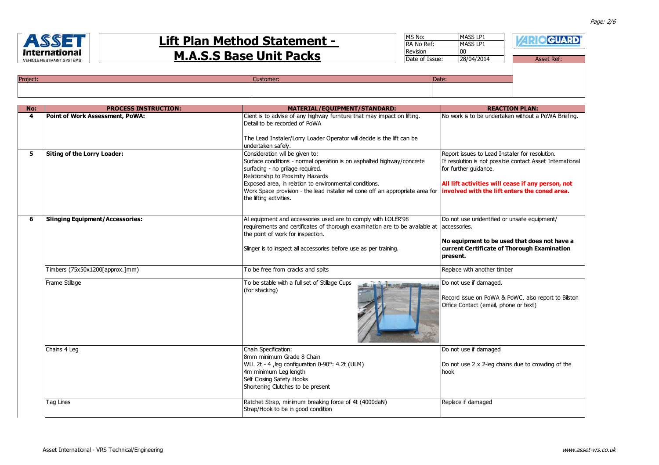

| MS No:          | <b>MASS LP1</b> |                   |
|-----------------|-----------------|-------------------|
|                 |                 | <b>RIO GUARD</b>  |
| RA No Ref:      | MASS LP1        |                   |
| <b>Revision</b> | 00              |                   |
| Date of Issue:  | 28/04/2014      | <b>Asset Ref:</b> |
|                 |                 |                   |
|                 |                 |                   |
| Date:           |                 |                   |
|                 |                 |                   |

| <b>Project</b> |  |
|----------------|--|
|                |  |
|                |  |

| No: | <b>PROCESS INSTRUCTION:</b>            | MATERIAL/EQUIPMENT/STANDARD:                                                                                                                                                                                                                                                                                                                                | <b>REACTION PLAN:</b>                                                                                                                                                                                                                       |
|-----|----------------------------------------|-------------------------------------------------------------------------------------------------------------------------------------------------------------------------------------------------------------------------------------------------------------------------------------------------------------------------------------------------------------|---------------------------------------------------------------------------------------------------------------------------------------------------------------------------------------------------------------------------------------------|
| 4   | Point of Work Assessment, PoWA:        | Client is to advise of any highway furniture that may impact on lifting.<br>Detail to be recorded of PoWA                                                                                                                                                                                                                                                   | No work is to be undertaken without a PoWA Briefing.                                                                                                                                                                                        |
|     |                                        | The Lead Installer/Lorry Loader Operator will decide is the lift can be<br>undertaken safely.                                                                                                                                                                                                                                                               |                                                                                                                                                                                                                                             |
| 5   | Siting of the Lorry Loader:            | Consideration will be given to:<br>Surface conditions - normal operation is on asphalted highway/concrete<br>surfacing - no grillage required.<br>Relationship to Proximity Hazards<br>Exposed area, in relation to environmental conditions.<br>Work Space provision - the lead installer will cone off an appropriate area for<br>the lifting activities. | Report issues to Lead Installer for resolution.<br>If resolution is not possible contact Asset International<br>for further quidance.<br>All lift activities will cease if any person, not<br>involved with the lift enters the coned area. |
| 6   | <b>Slinging Equipment/Accessories:</b> | All equipment and accessories used are to comply with LOLER'98<br>requirements and certificates of thorough examination are to be available at<br>the point of work for inspection.<br>Slinger is to inspect all accessories before use as per training.                                                                                                    | Do not use unidentified or unsafe equipment/<br>accessories.<br>No equipment to be used that does not have a<br>current Certificate of Thorough Examination<br>present.                                                                     |
|     | Timbers (75x50x1200[approx.]mm)        | To be free from cracks and splits                                                                                                                                                                                                                                                                                                                           | Replace with another timber                                                                                                                                                                                                                 |
|     | Frame Stillage                         | To be stable with a full set of Stillage Cups<br>(for stacking)                                                                                                                                                                                                                                                                                             | Do not use if damaged.<br>Record issue on PoWA & PoWC, also report to Bilston<br>Office Contact (email, phone or text)                                                                                                                      |
|     | Chains 4 Leg                           | Chain Specification:<br>8mm minimum Grade 8 Chain<br>WLL 2t - 4, leg configuration 0-90°: 4.2t (ULM)<br>4m minimum Leg length<br>Self Closing Safety Hooks<br>Shortening Clutches to be present                                                                                                                                                             | Do not use if damaged<br>Do not use 2 x 2-leg chains due to crowding of the<br>hook                                                                                                                                                         |
|     | Tag Lines                              | Ratchet Strap, minimum breaking force of 4t (4000daN)<br>Strap/Hook to be in good condition                                                                                                                                                                                                                                                                 | Replace if damaged                                                                                                                                                                                                                          |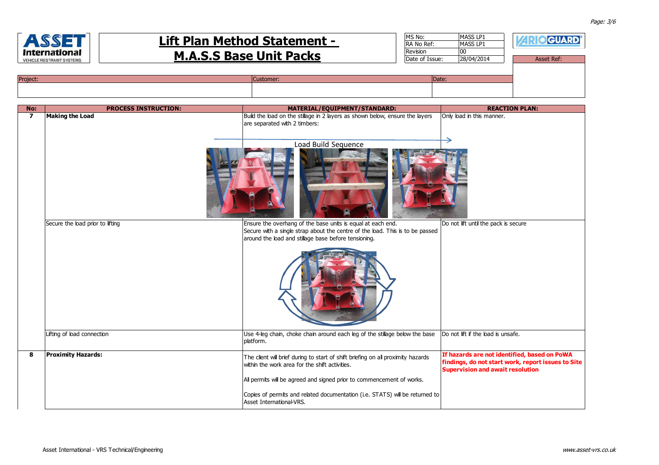

| No:            | <b>PROCESS INSTRUCTION:</b>      | MATERIAL/EQUIPMENT/STANDARD:                                                                                                                                                                         | <b>REACTION PLAN:</b>                                                                                                                         |
|----------------|----------------------------------|------------------------------------------------------------------------------------------------------------------------------------------------------------------------------------------------------|-----------------------------------------------------------------------------------------------------------------------------------------------|
| $\overline{ }$ | <b>Making the Load</b>           | Build the load on the stillage in 2 layers as shown below, ensure the layers<br>are separated with 2 timbers:<br>Load Build Sequence                                                                 | Only load in this manner.                                                                                                                     |
|                |                                  |                                                                                                                                                                                                      |                                                                                                                                               |
|                | Secure the load prior to lifting | Ensure the overhang of the base units is equal at each end.<br>Secure with a single strap about the centre of the load. This is to be passed<br>around the load and stillage base before tensioning. | Do not lift until the pack is secure                                                                                                          |
|                |                                  |                                                                                                                                                                                                      |                                                                                                                                               |
|                | Lifting of load connection       | Use 4-leg chain, choke chain around each leg of the stillage below the base<br>platform.                                                                                                             | Do not lift if the load is unsafe.                                                                                                            |
| 8              | <b>Proximity Hazards:</b>        | The client will brief during to start of shift briefing on all proximity hazards<br>within the work area for the shift activities.                                                                   | If hazards are not identified, based on PoWA<br>findings, do not start work, report issues to Site<br><b>Supervision and await resolution</b> |
|                |                                  | All permits will be agreed and signed prior to commencement of works.                                                                                                                                |                                                                                                                                               |
|                |                                  | Copies of permits and related documentation (i.e. STATS) will be returned to<br>Asset International-VRS.                                                                                             |                                                                                                                                               |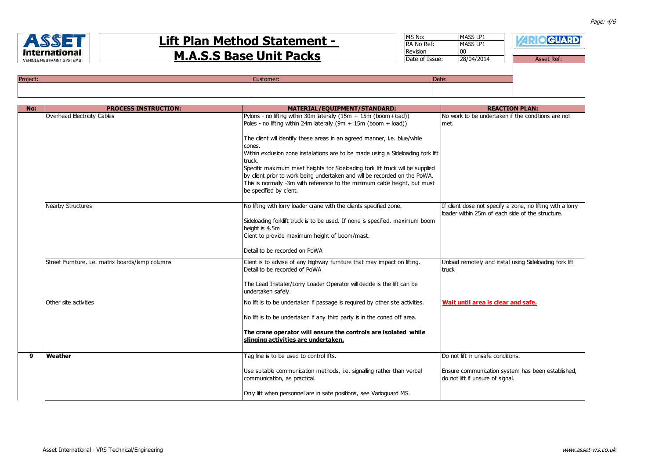

| MS No:         | MASS LP1   | <b>EIO GUARD</b> |
|----------------|------------|------------------|
| RA No Ref:     | MASS LP1   |                  |
| Revision       | 00         |                  |
| Date of Issue: | 28/04/2014 | Asset Ref:       |
|                |            |                  |
|                |            |                  |
| Date:          |            |                  |
|                |            |                  |

| <b>Project:</b> | una | IDate. |
|-----------------|-----|--------|
|                 |     |        |
|                 |     |        |
|                 |     |        |

| No: | <b>PROCESS INSTRUCTION:</b>                                            | MATERIAL/EQUIPMENT/STANDARD:                                                     | <b>REACTION PLAN:</b>                                                                 |
|-----|------------------------------------------------------------------------|----------------------------------------------------------------------------------|---------------------------------------------------------------------------------------|
|     | Overhead Electricity Cables                                            | Pylons - no lifting within 30m laterally $(15m + 15m$ (boom+load))               | No work to be undertaken if the conditions are not                                    |
|     |                                                                        | Poles - no lifting within 24m laterally $(9m + 15m$ (boom + load))               | met.                                                                                  |
|     |                                                                        |                                                                                  |                                                                                       |
|     |                                                                        | The client will identify these areas in an agreed manner, i.e. blue/while        |                                                                                       |
|     |                                                                        | cones.                                                                           |                                                                                       |
|     |                                                                        | Within exclusion zone installations are to be made using a Sideloading fork lift |                                                                                       |
|     |                                                                        | truck.                                                                           |                                                                                       |
|     |                                                                        | Specific maximum mast heights for Sideloading fork lift truck will be supplied   |                                                                                       |
|     |                                                                        | by client prior to work being undertaken and will be recorded on the PoWA.       |                                                                                       |
|     |                                                                        | This is normally -3m with reference to the minimum cable height, but must        |                                                                                       |
|     |                                                                        | be specified by client.                                                          |                                                                                       |
|     | <b>Nearby Structures</b>                                               | No lifting with lorry loader crane with the clients specified zone.              | If client dose not specify a zone, no lifting with a lorry                            |
|     |                                                                        |                                                                                  | loader within 25m of each side of the structure.                                      |
|     |                                                                        | Sideloading forklift truck is to be used. If none is specified, maximum boom     |                                                                                       |
|     |                                                                        | height is 4.5m                                                                   |                                                                                       |
|     |                                                                        | Client to provide maximum height of boom/mast.                                   |                                                                                       |
|     |                                                                        |                                                                                  |                                                                                       |
|     |                                                                        | Detail to be recorded on PoWA                                                    |                                                                                       |
|     | Street Furniture, i.e. matrix boards/lamp columns                      | Client is to advise of any highway furniture that may impact on lifting.         | Unload remotely and install using Sideloading fork lift                               |
|     | Detail to be recorded of PoWA                                          |                                                                                  | truck                                                                                 |
|     |                                                                        |                                                                                  |                                                                                       |
|     |                                                                        | The Lead Installer/Lorry Loader Operator will decide is the lift can be          |                                                                                       |
|     |                                                                        | undertaken safelv.                                                               |                                                                                       |
|     | Other site activities                                                  | No lift is to be undertaken if passage is reguired by other site activities.     | Wait until area is clear and safe.                                                    |
|     |                                                                        |                                                                                  |                                                                                       |
|     |                                                                        | No lift is to be undertaken if any third party is in the coned off area.         |                                                                                       |
|     |                                                                        |                                                                                  |                                                                                       |
|     |                                                                        | The crane operator will ensure the controls are isolated while                   |                                                                                       |
|     |                                                                        | slinging activities are undertaken.                                              |                                                                                       |
|     |                                                                        |                                                                                  |                                                                                       |
| 9   | Weather                                                                | Tag line is to be used to control lifts.                                         | Do not lift in unsafe conditions.                                                     |
|     |                                                                        |                                                                                  |                                                                                       |
|     | Use suitable communication methods, i.e. signalling rather than verbal |                                                                                  | Ensure communication system has been established,<br>do not lift if unsure of signal. |
|     |                                                                        | communication, as practical.                                                     |                                                                                       |
|     |                                                                        | Only lift when personnel are in safe positions, see Varioquard MS.               |                                                                                       |
|     |                                                                        |                                                                                  |                                                                                       |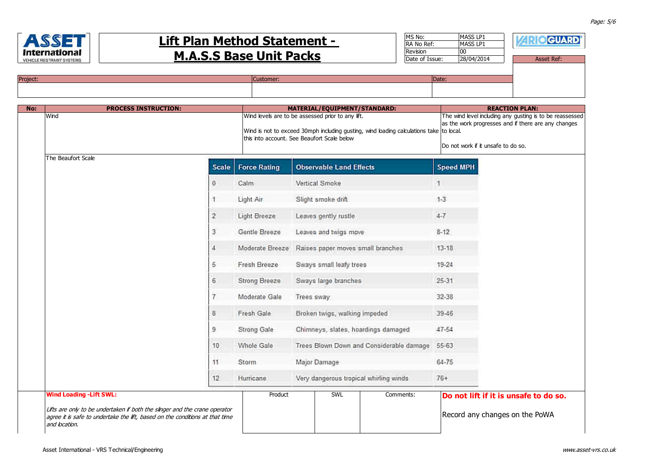

| MS No:         | MASS LP1   | <b>IGUARD</b>     |
|----------------|------------|-------------------|
| RA No Ref:     | MASS LP1   |                   |
| Revision       | 00         |                   |
| Date of Issue: | 28/04/2014 | <b>Asset Ref:</b> |
|                |            |                   |
| . .            |            |                   |

| Project: | Customer: | Date: |
|----------|-----------|-------|
|          |           |       |
|          |           |       |

| No: | <b>PROCESS INSTRUCTION:</b>                                                                                                                                                                                    |                 |                                                                                                                                                                                             | MATERIAL/EQUIPMENT/STANDARD:   |     |                                                                                                                                                       |                  | <b>REACTION PLAN:</b>                                                   |
|-----|----------------------------------------------------------------------------------------------------------------------------------------------------------------------------------------------------------------|-----------------|---------------------------------------------------------------------------------------------------------------------------------------------------------------------------------------------|--------------------------------|-----|-------------------------------------------------------------------------------------------------------------------------------------------------------|------------------|-------------------------------------------------------------------------|
|     | Wind                                                                                                                                                                                                           |                 | Wind levels are to be assessed prior to any lift.<br>Wind is not to exceed 30mph including gusting, wind loading calculations take to local.<br>this into account. See Beaufort Scale below |                                |     | The wind level including any gusting is to be reassessed<br>as the work progresses and if there are any changes<br>Do not work if it unsafe to do so. |                  |                                                                         |
|     | The Beaufort Scale                                                                                                                                                                                             | <b>Scale</b>    | <b>Force Rating</b>                                                                                                                                                                         | <b>Observable Land Effects</b> |     |                                                                                                                                                       | <b>Speed MPH</b> |                                                                         |
|     |                                                                                                                                                                                                                | $\theta$        | Calm                                                                                                                                                                                        | Vertical Smoke                 |     |                                                                                                                                                       | 11.              |                                                                         |
|     |                                                                                                                                                                                                                | 1               | Light Air                                                                                                                                                                                   | Slight smoke drift             |     |                                                                                                                                                       | $1-3$            |                                                                         |
|     |                                                                                                                                                                                                                | $\overline{2}$  | Light Breeze                                                                                                                                                                                | Leaves gently rustle           |     |                                                                                                                                                       | $4 - 7$          |                                                                         |
|     |                                                                                                                                                                                                                | 3               | Gentle Breeze                                                                                                                                                                               | Leaves and twigs move          |     |                                                                                                                                                       | $8 - 12$         |                                                                         |
|     |                                                                                                                                                                                                                | $\overline{A}$  | Moderate Breeze                                                                                                                                                                             |                                |     | Raises paper moves small branches                                                                                                                     | $13 - 18$        |                                                                         |
|     |                                                                                                                                                                                                                | 5               | Fresh Breeze                                                                                                                                                                                | Sways small leafy trees        |     |                                                                                                                                                       | 19-24            |                                                                         |
|     |                                                                                                                                                                                                                | 6               | Strong Breeze                                                                                                                                                                               | Sways large branches           |     |                                                                                                                                                       | $25 - 31$        |                                                                         |
|     |                                                                                                                                                                                                                | $\overline{7}$  | Moderate Gale                                                                                                                                                                               | Trees sway                     |     |                                                                                                                                                       | 32-38            |                                                                         |
|     |                                                                                                                                                                                                                | 8               | Fresh Gale                                                                                                                                                                                  | Broken twigs, walking impeded  |     |                                                                                                                                                       | 39-46            |                                                                         |
|     |                                                                                                                                                                                                                | 9               | Strong Gale                                                                                                                                                                                 |                                |     | Chimneys, slates, hoardings damaged                                                                                                                   | 47-54            |                                                                         |
|     |                                                                                                                                                                                                                | 10 <sup>1</sup> | <b>Whole Gale</b>                                                                                                                                                                           |                                |     | Trees Blown Down and Considerable damage                                                                                                              | 55-63            |                                                                         |
|     |                                                                                                                                                                                                                | 11              | Storm                                                                                                                                                                                       | Major Damage                   |     |                                                                                                                                                       | $64 - 75$        |                                                                         |
|     | 12                                                                                                                                                                                                             |                 | Hurricane                                                                                                                                                                                   |                                |     | Very dangerous tropical whirling winds                                                                                                                | $76+$            |                                                                         |
|     | <b>Wind Loading - Lift SWL:</b><br>Lifts are only to be undertaken if both the slinger and the crane operator<br>agree it is safe to undertake the lift, based on the conditions at that time<br>and location. |                 | Product                                                                                                                                                                                     |                                | SWL | Comments:                                                                                                                                             |                  | Do not lift if it is unsafe to do so.<br>Record any changes on the PoWA |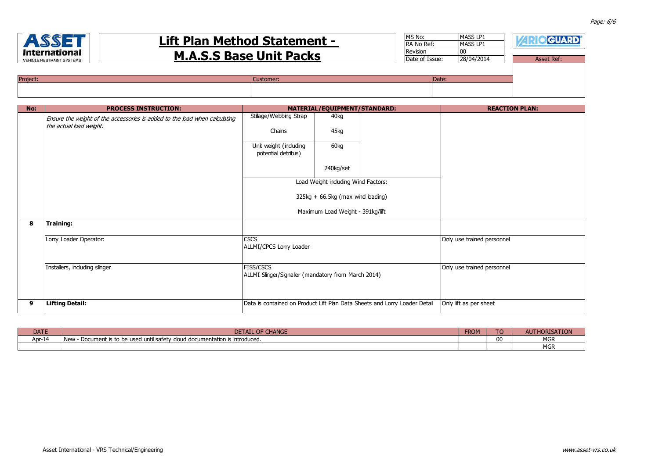

| MS No:         | MASS LP1   | <b>• GUARD</b>    |
|----------------|------------|-------------------|
| RA No Ref:     | MASS LP1   |                   |
| Revision       | 00         |                   |
| Date of Issue: | 28/04/2014 | <b>Asset Ref:</b> |
|                |            |                   |
|                |            |                   |
| Date:          |            |                   |
|                |            |                   |

| Project: | stomer | (Date: |
|----------|--------|--------|
|          |        |        |

| No: | <b>PROCESS INSTRUCTION:</b>                                                |                                                                                                                   | MATERIAL/EQUIPMENT/STANDARD:        |                                                                            | <b>REACTION PLAN:</b>      |
|-----|----------------------------------------------------------------------------|-------------------------------------------------------------------------------------------------------------------|-------------------------------------|----------------------------------------------------------------------------|----------------------------|
|     | Ensure the weight of the accessories is added to the load when calculating | Stillage/Webbing Strap                                                                                            | 40kg                                |                                                                            |                            |
|     | the actual load weight.                                                    | Chains                                                                                                            | 45kg                                |                                                                            |                            |
|     |                                                                            | Unit weight (including<br>potential detritus)                                                                     | 60kg                                |                                                                            |                            |
|     |                                                                            |                                                                                                                   | 240kg/set                           |                                                                            |                            |
|     |                                                                            |                                                                                                                   | Load Weight including Wind Factors: |                                                                            |                            |
|     |                                                                            | $325kg + 66.5kg$ (max wind loading)                                                                               |                                     |                                                                            |                            |
|     |                                                                            | Maximum Load Weight - 391kg/lift                                                                                  |                                     |                                                                            |                            |
| 8   | Training:                                                                  |                                                                                                                   |                                     |                                                                            |                            |
|     | Lorry Loader Operator:                                                     | <b>CSCS</b><br>ALLMI/CPCS Lorry Loader<br><b>FISS/CSCS</b><br>ALLMI Slinger/Signaller (mandatory from March 2014) |                                     | Only use trained personnel                                                 |                            |
|     | Installers, including slinger                                              |                                                                                                                   |                                     |                                                                            | Only use trained personnel |
| 9   | <b>Lifting Detail:</b>                                                     |                                                                                                                   |                                     | Data is contained on Product Lift Plan Data Sheets and Lorry Loader Detail | Only lift as per sheet     |

| <b>DATE</b> | <b>OF CHANGE</b><br>DETAIL<br><b>CHANG.</b>                                                    | <b>FROM</b><br>FKUI | TO | AUT<br>--         |
|-------------|------------------------------------------------------------------------------------------------|---------------------|----|-------------------|
| Apr-14      | <b>New</b><br>cloud documentation is introduced.<br>l until safety<br>- Document is to be used |                     |    | $\sim$<br>אטויו   |
|             |                                                                                                |                     |    | $\cdots$<br>אטויו |